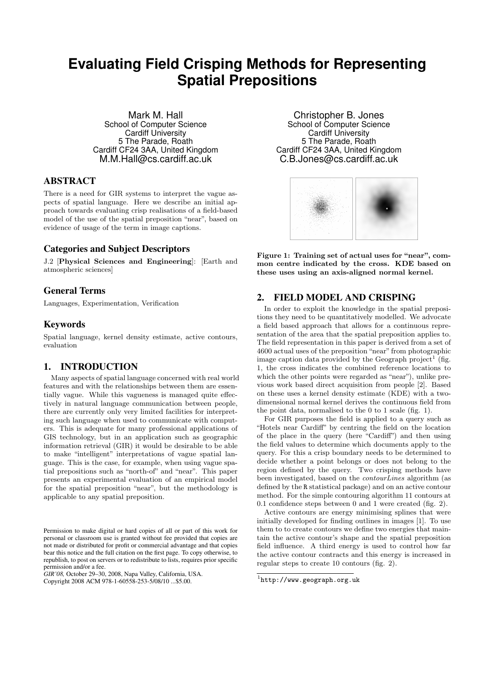# **Evaluating Field Crisping Methods for Representing Spatial Prepositions**

Mark M. Hall School of Computer Science Cardiff University 5 The Parade, Roath Cardiff CF24 3AA, United Kingdom M.M.Hall@cs.cardiff.ac.uk

## ABSTRACT

There is a need for GIR systems to interpret the vague aspects of spatial language. Here we describe an initial approach towards evaluating crisp realisations of a field-based model of the use of the spatial preposition "near", based on evidence of usage of the term in image captions.

### Categories and Subject Descriptors

J.2 [Physical Sciences and Engineering]: [Earth and atmospheric sciences]

## General Terms

Languages, Experimentation, Verification

## Keywords

Spatial language, kernel density estimate, active contours, evaluation

## 1. INTRODUCTION

Many aspects of spatial language concerned with real world features and with the relationships between them are essentially vague. While this vagueness is managed quite effectively in natural language communication between people, there are currently only very limited facilities for interpreting such language when used to communicate with computers. This is adequate for many professional applications of GIS technology, but in an application such as geographic information retrieval (GIR) it would be desirable to be able to make "intelligent" interpretations of vague spatial language. This is the case, for example, when using vague spatial prepositions such as "north-of" and "near". This paper presents an experimental evaluation of an empirical model for the spatial preposition "near", but the methodology is applicable to any spatial preposition.

*GIR'08,* October 29–30, 2008, Napa Valley, California, USA. Copyright 2008 ACM 978-1-60558-253-5/08/10 ...\$5.00.

Christopher B. Jones School of Computer Science Cardiff University 5 The Parade, Roath Cardiff CF24 3AA, United Kingdom C.B.Jones@cs.cardiff.ac.uk



Figure 1: Training set of actual uses for "near", common centre indicated by the cross. KDE based on these uses using an axis-aligned normal kernel.

## 2. FIELD MODEL AND CRISPING

In order to exploit the knowledge in the spatial prepositions they need to be quantitatively modelled. We advocate a field based approach that allows for a continuous representation of the area that the spatial preposition applies to. The field representation in this paper is derived from a set of 4600 actual uses of the preposition "near" from photographic image caption data provided by the Geograph project<sup>1</sup> (fig. 1, the cross indicates the combined reference locations to which the other points were regarded as "near"), unlike previous work based direct acquisition from people [2]. Based on these uses a kernel density estimate (KDE) with a twodimensional normal kernel derives the continuous field from the point data, normalised to the 0 to 1 scale (fig. 1).

For GIR purposes the field is applied to a query such as "Hotels near Cardiff" by centring the field on the location of the place in the query (here "Cardiff") and then using the field values to determine which documents apply to the query. For this a crisp boundary needs to be determined to decide whether a point belongs or does not belong to the region defined by the query. Two crisping methods have been investigated, based on the contourLines algorithm (as defined by the R statistical package) and on an active contour method. For the simple contouring algorithm 11 contours at 0.1 confidence steps between 0 and 1 were created (fig. 2).

Active contours are energy minimising splines that were initially developed for finding outlines in images [1]. To use them to to create contours we define two energies that maintain the active contour's shape and the spatial preposition field influence. A third energy is used to control how far the active contour contracts and this energy is increased in regular steps to create 10 contours (fig. 2).

Permission to make digital or hard copies of all or part of this work for personal or classroom use is granted without fee provided that copies are not made or distributed for profit or commercial advantage and that copies bear this notice and the full citation on the first page. To copy otherwise, to republish, to post on servers or to redistribute to lists, requires prior specific permission and/or a fee.

<sup>1</sup> http://www.geograph.org.uk